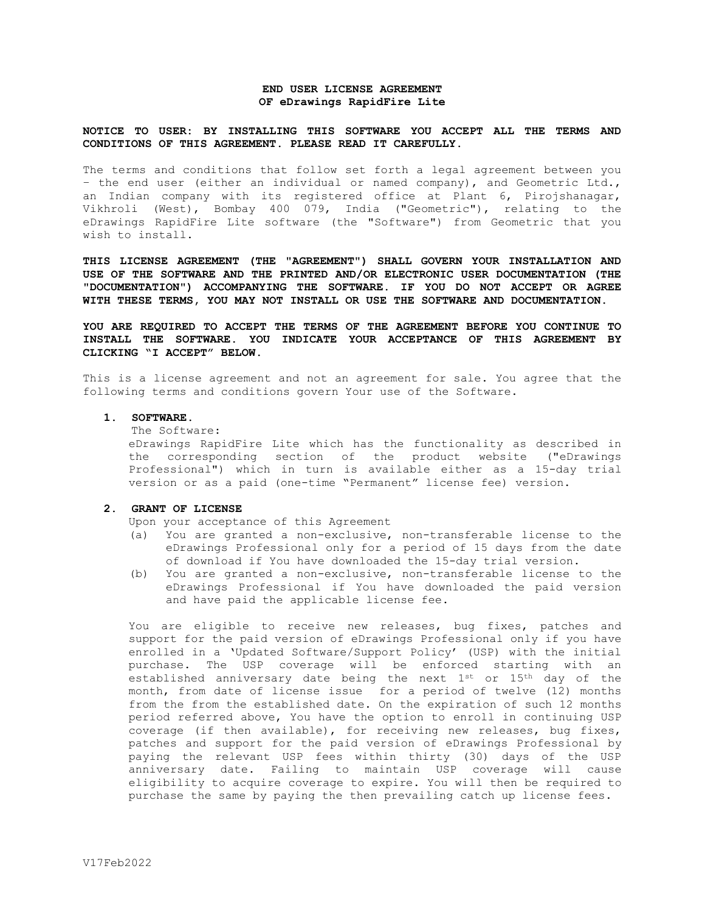### **END USER LICENSE AGREEMENT OF eDrawings RapidFire Lite**

### **NOTICE TO USER: BY INSTALLING THIS SOFTWARE YOU ACCEPT ALL THE TERMS AND CONDITIONS OF THIS AGREEMENT. PLEASE READ IT CAREFULLY.**

The terms and conditions that follow set forth a legal agreement between you – the end user (either an individual or named company), and Geometric Ltd., an Indian company with its registered office at Plant 6, Pirojshanagar, Vikhroli (West), Bombay 400 079, India ("Geometric"), relating to the eDrawings RapidFire Lite software (the "Software") from Geometric that you wish to install.

**THIS LICENSE AGREEMENT (THE "AGREEMENT") SHALL GOVERN YOUR INSTALLATION AND USE OF THE SOFTWARE AND THE PRINTED AND/OR ELECTRONIC USER DOCUMENTATION (THE "DOCUMENTATION") ACCOMPANYING THE SOFTWARE. IF YOU DO NOT ACCEPT OR AGREE WITH THESE TERMS, YOU MAY NOT INSTALL OR USE THE SOFTWARE AND DOCUMENTATION.** 

**YOU ARE REQUIRED TO ACCEPT THE TERMS OF THE AGREEMENT BEFORE YOU CONTINUE TO INSTALL THE SOFTWARE. YOU INDICATE YOUR ACCEPTANCE OF THIS AGREEMENT BY CLICKING "I ACCEPT" BELOW.**

This is a license agreement and not an agreement for sale. You agree that the following terms and conditions govern Your use of the Software.

# **1. SOFTWARE.**

The Software:

eDrawings RapidFire Lite which has the functionality as described in the corresponding section of the product website ("eDrawings Professional") which in turn is available either as a 15-day trial version or as a paid (one-time "Permanent" license fee) version.

#### **2. GRANT OF LICENSE**

Upon your acceptance of this Agreement

- (a) You are granted a non-exclusive, non-transferable license to the eDrawings Professional only for a period of 15 days from the date of download if You have downloaded the 15-day trial version.
- (b) You are granted a non-exclusive, non-transferable license to the eDrawings Professional if You have downloaded the paid version and have paid the applicable license fee.

You are eligible to receive new releases, bug fixes, patches and support for the paid version of eDrawings Professional only if you have enrolled in a 'Updated Software/Support Policy' (USP) with the initial purchase. The USP coverage will be enforced starting with an established anniversary date being the next 1st or 15th day of the month, from date of license issue for a period of twelve (12) months from the from the established date. On the expiration of such 12 months period referred above, You have the option to enroll in continuing USP coverage (if then available), for receiving new releases, bug fixes, patches and support for the paid version of eDrawings Professional by paying the relevant USP fees within thirty (30) days of the USP anniversary date. Failing to maintain USP coverage will cause eligibility to acquire coverage to expire. You will then be required to purchase the same by paying the then prevailing catch up license fees.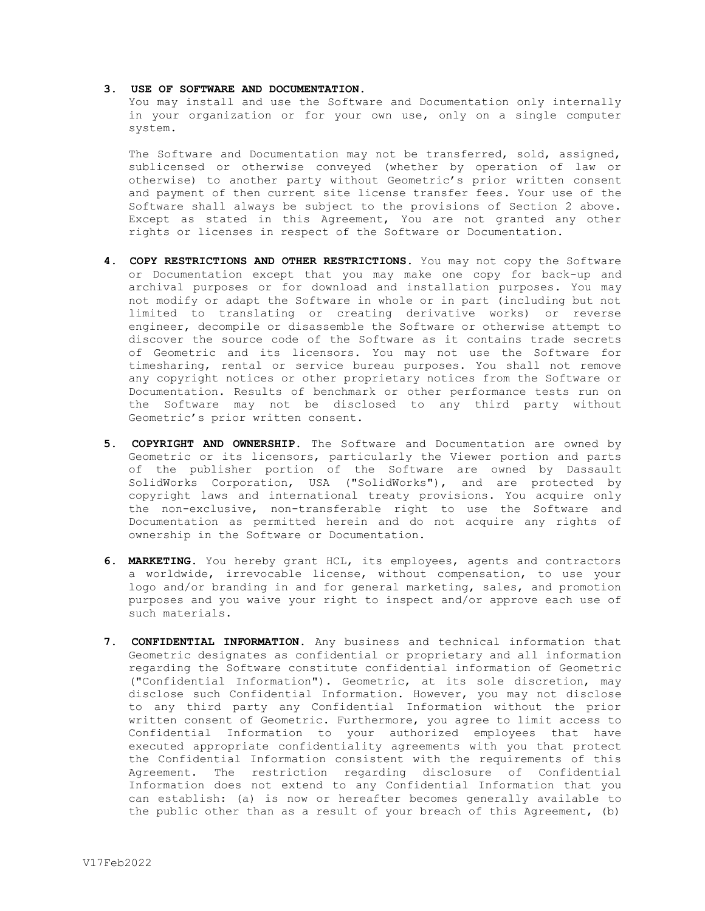#### **3. USE OF SOFTWARE AND DOCUMENTATION.**

You may install and use the Software and Documentation only internally in your organization or for your own use, only on a single computer system.

The Software and Documentation may not be transferred, sold, assigned, sublicensed or otherwise conveyed (whether by operation of law or otherwise) to another party without Geometric's prior written consent and payment of then current site license transfer fees. Your use of the Software shall always be subject to the provisions of Section 2 above. Except as stated in this Agreement, You are not granted any other rights or licenses in respect of the Software or Documentation.

- **4. COPY RESTRICTIONS AND OTHER RESTRICTIONS.** You may not copy the Software or Documentation except that you may make one copy for back-up and archival purposes or for download and installation purposes. You may not modify or adapt the Software in whole or in part (including but not limited to translating or creating derivative works) or reverse engineer, decompile or disassemble the Software or otherwise attempt to discover the source code of the Software as it contains trade secrets of Geometric and its licensors. You may not use the Software for timesharing, rental or service bureau purposes. You shall not remove any copyright notices or other proprietary notices from the Software or Documentation. Results of benchmark or other performance tests run on the Software may not be disclosed to any third party without Geometric's prior written consent.
- **5. COPYRIGHT AND OWNERSHIP.** The Software and Documentation are owned by Geometric or its licensors, particularly the Viewer portion and parts of the publisher portion of the Software are owned by Dassault SolidWorks Corporation, USA ("SolidWorks"), and are protected by copyright laws and international treaty provisions. You acquire only the non-exclusive, non-transferable right to use the Software and Documentation as permitted herein and do not acquire any rights of ownership in the Software or Documentation.
- **6. MARKETING.** You hereby grant HCL, its employees, agents and contractors a worldwide, irrevocable license, without compensation, to use your logo and/or branding in and for general marketing, sales, and promotion purposes and you waive your right to inspect and/or approve each use of such materials.
- **7. CONFIDENTIAL INFORMATION.** Any business and technical information that Geometric designates as confidential or proprietary and all information regarding the Software constitute confidential information of Geometric ("Confidential Information"). Geometric, at its sole discretion, may disclose such Confidential Information. However, you may not disclose to any third party any Confidential Information without the prior written consent of Geometric. Furthermore, you agree to limit access to Confidential Information to your authorized employees that have executed appropriate confidentiality agreements with you that protect the Confidential Information consistent with the requirements of this Agreement. The restriction regarding disclosure of Confidential Information does not extend to any Confidential Information that you can establish: (a) is now or hereafter becomes generally available to the public other than as a result of your breach of this Agreement, (b)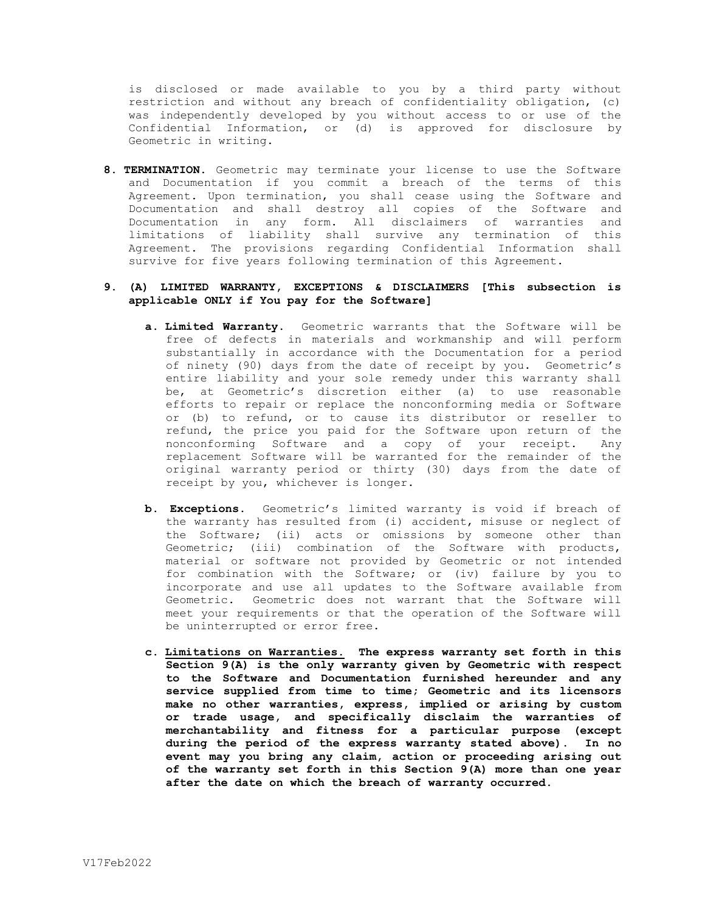is disclosed or made available to you by a third party without restriction and without any breach of confidentiality obligation, (c) was independently developed by you without access to or use of the Confidential Information, or (d) is approved for disclosure by Geometric in writing.

**8. TERMINATION.** Geometric may terminate your license to use the Software and Documentation if you commit a breach of the terms of this Agreement. Upon termination, you shall cease using the Software and Documentation and shall destroy all copies of the Software and Documentation in any form. All disclaimers of warranties and limitations of liability shall survive any termination of this Agreement. The provisions regarding Confidential Information shall survive for five years following termination of this Agreement.

# **9. (A) LIMITED WARRANTY, EXCEPTIONS & DISCLAIMERS [This subsection is applicable ONLY if You pay for the Software]**

- **a. Limited Warranty.** Geometric warrants that the Software will be free of defects in materials and workmanship and will perform substantially in accordance with the Documentation for a period of ninety (90) days from the date of receipt by you. Geometric's entire liability and your sole remedy under this warranty shall be, at Geometric's discretion either (a) to use reasonable efforts to repair or replace the nonconforming media or Software or (b) to refund, or to cause its distributor or reseller to refund, the price you paid for the Software upon return of the nonconforming Software and a copy of your receipt. Any replacement Software will be warranted for the remainder of the original warranty period or thirty (30) days from the date of receipt by you, whichever is longer.
- **b. Exceptions.** Geometric's limited warranty is void if breach of the warranty has resulted from (i) accident, misuse or neglect of the Software; (ii) acts or omissions by someone other than Geometric; (iii) combination of the Software with products, material or software not provided by Geometric or not intended for combination with the Software; or (iv) failure by you to incorporate and use all updates to the Software available from Geometric. Geometric does not warrant that the Software will meet your requirements or that the operation of the Software will be uninterrupted or error free.
- **c. Limitations on Warranties. The express warranty set forth in this Section 9(A) is the only warranty given by Geometric with respect to the Software and Documentation furnished hereunder and any service supplied from time to time; Geometric and its licensors make no other warranties, express, implied or arising by custom or trade usage, and specifically disclaim the warranties of merchantability and fitness for a particular purpose (except during the period of the express warranty stated above). In no event may you bring any claim, action or proceeding arising out of the warranty set forth in this Section 9(A) more than one year after the date on which the breach of warranty occurred.**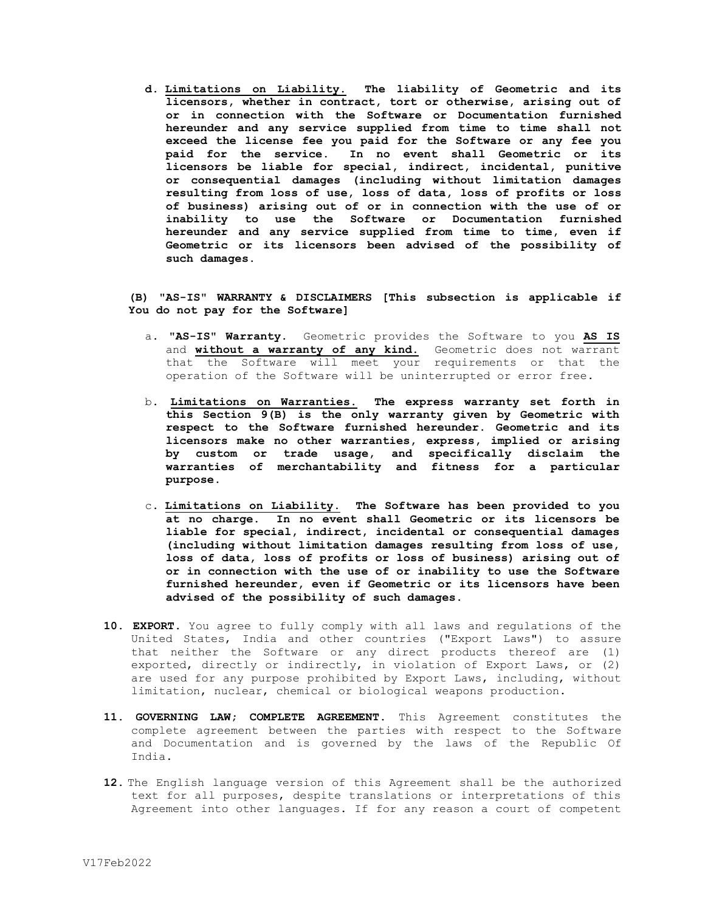**d. Limitations on Liability. The liability of Geometric and its licensors, whether in contract, tort or otherwise, arising out of or in connection with the Software or Documentation furnished hereunder and any service supplied from time to time shall not exceed the license fee you paid for the Software or any fee you paid for the service. In no event shall Geometric or its licensors be liable for special, indirect, incidental, punitive or consequential damages (including without limitation damages resulting from loss of use, loss of data, loss of profits or loss of business) arising out of or in connection with the use of or inability to use the Software or Documentation furnished hereunder and any service supplied from time to time, even if Geometric or its licensors been advised of the possibility of such damages.**

# **(B) "AS-IS" WARRANTY & DISCLAIMERS [This subsection is applicable if You do not pay for the Software]**

- a. **"AS-IS" Warranty.** Geometric provides the Software to you **AS IS** and **without a warranty of any kind.** Geometric does not warrant that the Software will meet your requirements or that the operation of the Software will be uninterrupted or error free**.**
- b. **Limitations on Warranties. The express warranty set forth in this Section 9(B) is the only warranty given by Geometric with respect to the Software furnished hereunder. Geometric and its licensors make no other warranties, express, implied or arising by custom or trade usage, and specifically disclaim the warranties of merchantability and fitness for a particular purpose.**
- c. **Limitations on Liability. The Software has been provided to you at no charge. In no event shall Geometric or its licensors be liable for special, indirect, incidental or consequential damages (including without limitation damages resulting from loss of use, loss of data, loss of profits or loss of business) arising out of or in connection with the use of or inability to use the Software furnished hereunder, even if Geometric or its licensors have been advised of the possibility of such damages.**
- **10. EXPORT.** You agree to fully comply with all laws and regulations of the United States, India and other countries ("Export Laws") to assure that neither the Software or any direct products thereof are (1) exported, directly or indirectly, in violation of Export Laws, or (2) are used for any purpose prohibited by Export Laws, including, without limitation, nuclear, chemical or biological weapons production.
- **11. GOVERNING LAW; COMPLETE AGREEMENT.** This Agreement constitutes the complete agreement between the parties with respect to the Software and Documentation and is governed by the laws of the Republic Of India.
- **12.** The English language version of this Agreement shall be the authorized text for all purposes, despite translations or interpretations of this Agreement into other languages. If for any reason a court of competent